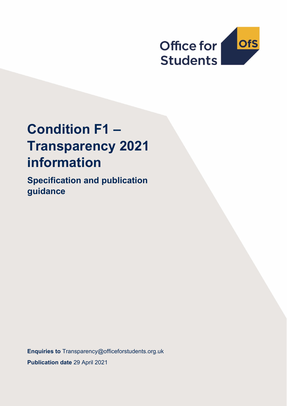

# **Condition F1 – Transparency 2021 information**

**Specification and publication guidance**

**Enquiries to** [Transparency@officeforstudents.org.uk](mailto:Transparency@officeforstudents.org.uk) **Publication date** 29 April 2021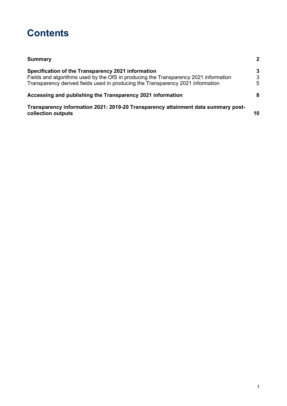# **Contents**

| <b>Summary</b>                                                                                          | $\overline{2}$ |
|---------------------------------------------------------------------------------------------------------|----------------|
| Specification of the Transparency 2021 information                                                      | 3              |
| Fields and algorithms used by the OfS in producing the Transparency 2021 information                    | 3              |
| Transparency derived fields used in producing the Transparency 2021 information                         | 5              |
| Accessing and publishing the Transparency 2021 information                                              | 8              |
| Transparency information 2021: 2019-20 Transparency attainment data summary post-<br>collection outputs | 10             |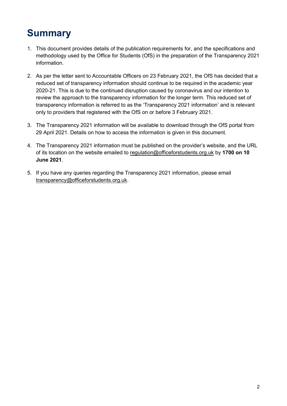# <span id="page-2-0"></span>**Summary**

- 1. This document provides details of the publication requirements for, and the specifications and methodology used by the Office for Students (OfS) in the preparation of the Transparency 2021 information.
- 2. As per the letter sent to Accountable Officers on 23 February 2021, the OfS has decided that a reduced set of transparency information should continue to be required in the academic year 2020-21. This is due to the continued disruption caused by coronavirus and our intention to review the approach to the transparency information for the longer term. This reduced set of transparency information is referred to as the 'Transparency 2021 information' and is relevant only to providers that registered with the OfS on or before 3 February 2021.
- 3. The Transparency 2021 information will be available to download through the OfS portal from 29 April 2021. Details on how to access the information is given in this document.
- 4. The Transparency 2021 information must be published on the provider's website, and the URL of its location on the website emailed to [regulation@officeforstudents.org.uk](mailto:regulation@officeforstudents.org.uk) by **1700 on 10 June 2021**.
- 5. If you have any queries regarding the Transparency 2021 information, please email [transparency@officeforstudents.org.uk.](mailto:transparency@officeforstudents.org.uk)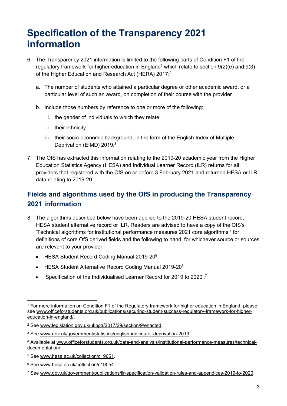# <span id="page-3-0"></span>**Specification of the Transparency 2021 information**

- 6. The Transparency 2021 information is limited to the following parts of Condition F1 of the regulatory framework for higher education in England<sup>1</sup> which relate to section  $9(2)(e)$  and  $9(3)$ of the Higher Education and Research Act (HERA) 2017:<sup>2</sup>
	- a. The number of students who attained a particular degree or other academic award, or a particular level of such an award, on completion of their course with the provider
	- b. Include those numbers by reference to one or more of the following:
		- i. the gender of individuals to which they relate
		- ii. their ethnicity
		- iii. their socio-economic background, in the form of the English Index of Multiple Deprivation (EIMD) 2019. 3
- 7. The OfS has extracted this information relating to the 2019-20 academic year from the Higher Education Statistics Agency (HESA) and Individual Learner Record (ILR) returns for all providers that registered with the OfS on or before 3 February 2021 and returned HESA or ILR data relating to 2019-20.

### <span id="page-3-1"></span>**Fields and algorithms used by the OfS in producing the Transparency 2021 information**

- 8. The algorithms described below have been applied to the 2019-20 HESA student record, HESA student alternative record or ILR. Readers are advised to have a copy of the OfS's 'Technical algorithms for institutional performance measures 2021 core algorithms'<sup>4</sup> for definitions of core OfS derived fields and the following to hand, for whichever source or sources are relevant to your provider:
	- HESA Student Record Coding Manual 2019-20<sup>5</sup>
	- HESA Student Alternative Record Coding Manual 2019-20<sup>6</sup>
	- Specification of the Individualised Learner Record for 2019 to 2020'.<sup>7</sup>

<sup>1</sup> For more information on Condition F1 of the Regulatory framework for higher education in England, please see [www.officeforstudents.org.uk/publications/securing-student-success-regulatory-framework-for-higher](https://www.officeforstudents.org.uk/publications/securing-student-success-regulatory-framework-for-higher-education-in-england/)[education-in-england/.](https://www.officeforstudents.org.uk/publications/securing-student-success-regulatory-framework-for-higher-education-in-england/)

<sup>2</sup> See [www.legislation.gov.uk/ukpga/2017/29/section/9/enacted.](http://www.legislation.gov.uk/ukpga/2017/29/section/9/enacted)

<sup>3</sup> See [www.gov.uk/government/statistics/english-indices-of-deprivation-2019.](http://www.gov.uk/government/statistics/english-indices-of-deprivation-2019)

<sup>4</sup> Available at [www.officeforstudents.org.uk/data-and-analysis/institutional-performance-measures/technical](http://www.officeforstudents.org.uk/data-and-analysis/institutional-performance-measures/technical-documentation/)[documentation/.](http://www.officeforstudents.org.uk/data-and-analysis/institutional-performance-measures/technical-documentation/)

<sup>5</sup> See [www.hesa.ac.uk/collection/c19051.](http://www.hesa.ac.uk/collection/c19051)

<sup>6</sup> See [www.hesa.ac.uk/collection/c19054.](http://www.hesa.ac.uk/collection/c19054)

<sup>7</sup> See [www.gov.uk/government/publications/ilr-specification-validation-rules-and-appendices-2019-to-2020.](http://www.gov.uk/government/publications/ilr-specification-validation-rules-and-appendices-2019-to-2020)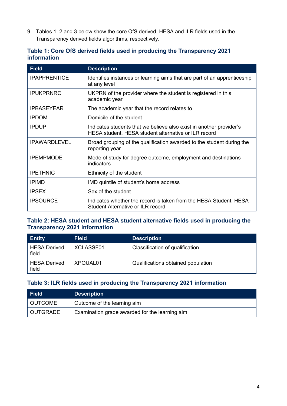9. Tables 1, 2 and 3 below show the core OfS derived, HESA and ILR fields used in the Transparency derived fields algorithms, respectively.

| Table 1: Core OfS derived fields used in producing the Transparency 2021 |  |  |  |
|--------------------------------------------------------------------------|--|--|--|
| information                                                              |  |  |  |

| <b>Field</b>        | <b>Description</b>                                                                                                          |
|---------------------|-----------------------------------------------------------------------------------------------------------------------------|
| <b>IPAPPRENTICE</b> | Identifies instances or learning aims that are part of an apprenticeship<br>at any level                                    |
| <b>IPUKPRNRC</b>    | UKPRN of the provider where the student is registered in this<br>academic year                                              |
| <b>IPBASEYEAR</b>   | The academic year that the record relates to                                                                                |
| <b>IPDOM</b>        | Domicile of the student                                                                                                     |
| <b>IPDUP</b>        | Indicates students that we believe also exist in another provider's<br>HESA student, HESA student alternative or ILR record |
| <b>IPAWARDLEVEL</b> | Broad grouping of the qualification awarded to the student during the<br>reporting year                                     |
| <b>IPEMPMODE</b>    | Mode of study for degree outcome, employment and destinations<br>indicators                                                 |
| <b>IPETHNIC</b>     | Ethnicity of the student                                                                                                    |
| <b>IPIMD</b>        | IMD quintile of student's home address                                                                                      |
| <b>IPSEX</b>        | Sex of the student                                                                                                          |
| <b>IPSOURCE</b>     | Indicates whether the record is taken from the HESA Student, HESA<br>Student Alternative or ILR record                      |

#### **Table 2: HESA student and HESA student alternative fields used in producing the Transparency 2021 information**

| <b>Entity</b>                | <b>Field</b> | <b>Description</b>                 |
|------------------------------|--------------|------------------------------------|
| <b>HESA Derived</b><br>field | XCLASSF01    | Classification of qualification    |
| <b>HESA Derived</b><br>field | XPQUAL01     | Qualifications obtained population |

#### **Table 3: ILR fields used in producing the Transparency 2021 information**

| Field    | <b>Description</b>                             |
|----------|------------------------------------------------|
| OUTCOME  | Outcome of the learning aim                    |
| OUTGRADE | Examination grade awarded for the learning aim |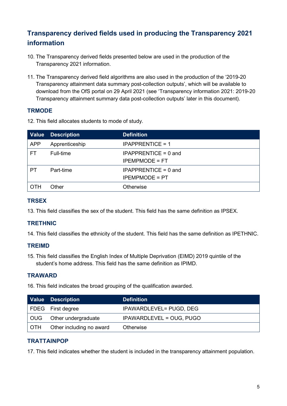### <span id="page-5-0"></span>**Transparency derived fields used in producing the Transparency 2021 information**

- 10. The Transparency derived fields presented below are used in the production of the Transparency 2021 information.
- 11. The Transparency derived field algorithms are also used in the production of the '2019-20 Transparency attainment data summary post-collection outputs', which will be available to download from the OfS portal on 29 April 2021 (see 'Transparency information 2021: 2019-20 Transparency attainment summary data post-collection outputs' later in this document).

#### **TRMODE**

12. This field allocates students to mode of study.

| <b>Value</b> | <b>Description</b> | <b>Definition</b>                               |
|--------------|--------------------|-------------------------------------------------|
| <b>APP</b>   | Apprenticeship     | <b>IPAPPRENTICE = 1</b>                         |
| FT           | Full-time          | IPAPPRENTICE = $0$ and<br><b>IPEMPMODE = FT</b> |
| PТ           | Part-time          | $IPAPPRENTICE = 0$ and<br><b>IPEMPMODE = PT</b> |
| ОТН          | Other              | Otherwise                                       |

#### **TRSEX**

13. This field classifies the sex of the student. This field has the same definition as IPSEX.

#### **TRETHNIC**

14. This field classifies the ethnicity of the student. This field has the same definition as IPETHNIC.

#### **TREIMD**

15. This field classifies the English Index of Multiple Deprivation (EIMD) 2019 quintile of the student's home address. This field has the same definition as IPIMD.

#### **TRAWARD**

16. This field indicates the broad grouping of the qualification awarded.

|     | Value Description        | <b>Definition</b>               |
|-----|--------------------------|---------------------------------|
|     | FDEG First degree        | <b>IPAWARDLEVEL= PUGD, DEG</b>  |
|     |                          | <b>IPAWARDLEVEL = OUG, PUGO</b> |
| OTH | Other including no award | Otherwise                       |

#### **TRATTAINPOP**

17. This field indicates whether the student is included in the transparency attainment population.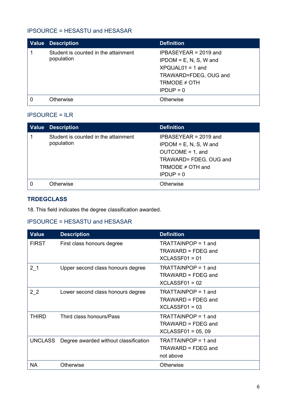#### IPSOURCE = HESASTU and HESASAR

| <b>Value</b> | <b>Description</b>                                 | <b>Definition</b>                                                                                                                      |
|--------------|----------------------------------------------------|----------------------------------------------------------------------------------------------------------------------------------------|
|              | Student is counted in the attainment<br>population | $IPBASEYEAR = 2019$ and<br>$IPDOM = E, N, S, W$ and<br>$XPQUAL01 = 1$ and<br>TRAWARD=FDEG, OUG and<br>TRMODE $\neq$ OTH<br>$IPDUP = 0$ |
|              | Otherwise                                          | <b>Otherwise</b>                                                                                                                       |

#### IPSOURCE = ILR

| <b>Value Description</b>                           | <b>Definition</b>                                                                                                                            |
|----------------------------------------------------|----------------------------------------------------------------------------------------------------------------------------------------------|
| Student is counted in the attainment<br>population | $IPBASEYEAR = 2019$ and<br>$IPDOM = E, N, S, W$ and<br>$OUTCOME = 1$ , and<br>TRAWARD= FDEG, OUG and<br>TRMODE $\neq$ OTH and<br>$IPDUP = 0$ |
| Otherwise                                          | Otherwise                                                                                                                                    |

### **TRDEGCLASS**

18. This field indicates the degree classification awarded.

### IPSOURCE = HESASTU and HESASAR

| <b>Value</b>   | <b>Description</b>                    | <b>Definition</b>     |
|----------------|---------------------------------------|-----------------------|
| <b>FIRST</b>   | First class honours degree            | TRATTAINPOP = 1 and   |
|                |                                       | TRAWARD = FDEG and    |
|                |                                       | $XCLAS$ SF01 = 01     |
| 2 <sub>1</sub> | Upper second class honours degree     | $TRATTAINPOP = 1$ and |
|                |                                       | TRAWARD = FDEG and    |
|                |                                       | $XCLASSF01 = 02$      |
| 2 <sub>2</sub> | Lower second class honours degree     | TRATTAINPOP = 1 and   |
|                |                                       | TRAWARD = FDEG and    |
|                |                                       | $XCLASSF01 = 03$      |
| <b>THIRD</b>   | Third class honours/Pass              | TRATTAINPOP = 1 and   |
|                |                                       | TRAWARD = FDEG and    |
|                |                                       | $XCLASSF01 = 05,09$   |
| <b>UNCLASS</b> | Degree awarded without classification | TRATTAINPOP = 1 and   |
|                |                                       | TRAWARD = FDEG and    |
|                |                                       | not above             |
| <b>NA</b>      | Otherwise                             | Otherwise             |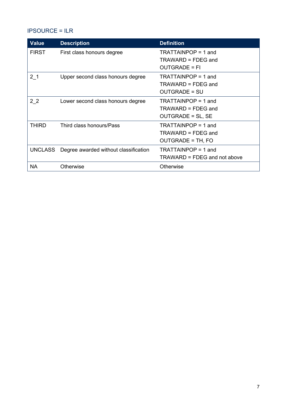### IPSOURCE = ILR

| <b>Value</b>   | <b>Description</b>                    | <b>Definition</b>            |
|----------------|---------------------------------------|------------------------------|
| <b>FIRST</b>   | First class honours degree            | TRATTAINPOP = 1 and          |
|                |                                       | $TRAWARD = FDEG$ and         |
|                |                                       | <b>OUTGRADE = FI</b>         |
| 2 <sub>1</sub> | Upper second class honours degree     | TRATTAINPOP = 1 and          |
|                |                                       | $TRAWARD = FDEG$ and         |
|                |                                       | <b>OUTGRADE = SU</b>         |
| 2 <sub>2</sub> | Lower second class honours degree     | $TRATTAINPOP = 1$ and        |
|                |                                       | TRAWARD = FDEG and           |
|                |                                       | <b>OUTGRADE = SL, SE</b>     |
| <b>THIRD</b>   | Third class honours/Pass              | TRATTAINPOP = 1 and          |
|                |                                       | TRAWARD = FDEG and           |
|                |                                       | OUTGRADE = TH, FO            |
| UNCLASS        | Degree awarded without classification | TRATTAINPOP = 1 and          |
|                |                                       | TRAWARD = FDEG and not above |
| <b>NA</b>      | <b>Otherwise</b>                      | Otherwise                    |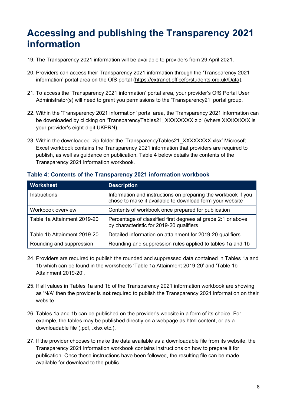# <span id="page-8-0"></span>**Accessing and publishing the Transparency 2021 information**

- 19. The Transparency 2021 information will be available to providers from 29 April 2021.
- 20. Providers can access their Transparency 2021 information through the 'Transparency 2021 information' portal area on the OfS portal [\(https://extranet.officeforstudents.org.uk/Data\)](https://extranet.officeforstudents.org.uk/Data).
- 21. To access the 'Transparency 2021 information' portal area, your provider's OfS Portal User Administrator(s) will need to grant you permissions to the 'Transparency21' portal group.
- 22. Within the 'Transparency 2021 information' portal area, the Transparency 2021 information can be downloaded by clicking on 'TransparencyTables21\_XXXXXXX.zip' (where XXXXXXXX is your provider's eight-digit UKPRN).
- 23. Within the downloaded .zip folder the 'TransparencyTables21\_XXXXXXXX.xlsx' Microsoft Excel workbook contains the Transparency 2021 information that providers are required to publish, as well as guidance on publication. Table 4 below details the contents of the Transparency 2021 information workbook.

| <b>Worksheet</b>            | <b>Description</b>                                                                                                        |
|-----------------------------|---------------------------------------------------------------------------------------------------------------------------|
| <b>Instructions</b>         | Information and instructions on preparing the workbook if you<br>chose to make it available to download form your website |
| Workbook overview           | Contents of workbook once prepared for publication                                                                        |
| Table 1a Attainment 2019-20 | Percentage of classified first degrees at grade 2:1 or above<br>by characteristic for 2019-20 qualifiers                  |
| Table 1b Attainment 2019-20 | Detailed information on attainment for 2019-20 qualifiers                                                                 |
| Rounding and suppression    | Rounding and suppression rules applied to tables 1a and 1b                                                                |

#### **Table 4: Contents of the Transparency 2021 information workbook**

- 24. Providers are required to publish the rounded and suppressed data contained in Tables 1a and 1b which can be found in the worksheets 'Table 1a Attainment 2019-20' and 'Table 1b Attainment 2019-20'.
- 25. If all values in Tables 1a and 1b of the Transparency 2021 information workbook are showing as 'N/A' then the provider is **not** required to publish the Transparency 2021 information on their website.
- 26. Tables 1a and 1b can be published on the provider's website in a form of its choice. For example, the tables may be published directly on a webpage as html content, or as a downloadable file (.pdf, .xlsx etc.).
- 27. If the provider chooses to make the data available as a downloadable file from its website, the Transparency 2021 information workbook contains instructions on how to prepare it for publication. Once these instructions have been followed, the resulting file can be made available for download to the public.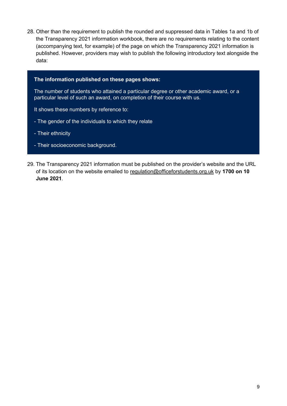28. Other than the requirement to publish the rounded and suppressed data in Tables 1a and 1b of the Transparency 2021 information workbook, there are no requirements relating to the content (accompanying text, for example) of the page on which the Transparency 2021 information is published. However, providers may wish to publish the following introductory text alongside the data:

#### **The information published on these pages shows:**

The number of students who attained a particular degree or other academic award, or a particular level of such an award, on completion of their course with us.

It shows these numbers by reference to:

- The gender of the individuals to which they relate
- Their ethnicity
- Their socioeconomic background.
- 29. The Transparency 2021 information must be published on the provider's website and the URL of its location on the website emailed to [regulation@officeforstudents.org.uk](mailto:regulation@officeforstudents.org.uk) by **1700 on 10 June 2021**.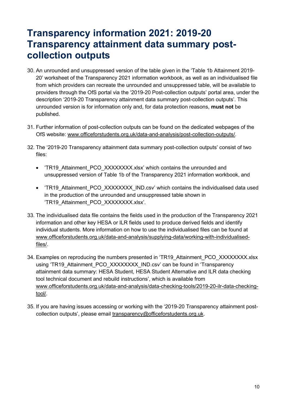## <span id="page-10-0"></span>**Transparency information 2021: 2019-20 Transparency attainment data summary postcollection outputs**

- 30. An unrounded and unsuppressed version of the table given in the 'Table 1b Attainment 2019- 20' worksheet of the Transparency 2021 information workbook, as well as an individualised file from which providers can recreate the unrounded and unsuppressed table, will be available to providers through the OfS portal via the '2019-20 Post-collection outputs' portal area, under the description '2019-20 Transparency attainment data summary post-collection outputs'. This unrounded version is for information only and, for data protection reasons, **must not** be published.
- 31. Further information of post-collection outputs can be found on the dedicated webpages of the OfS website: [www.officeforstudents.org.uk/data-and-analysis/post-collection-outputs/.](https://www.officeforstudents.org.uk/data-and-analysis/post-collection-outputs/)
- 32. The '2019-20 Transparency attainment data summary post-collection outputs' consist of two files:
	- 'TR19 Attainment PCO\_XXXXXXX.xlsx' which contains the unrounded and unsuppressed version of Table 1b of the Transparency 2021 information workbook, and
	- 'TR19 Attainment PCO\_XXXXXXXX\_IND.csv' which contains the individualised data used in the production of the unrounded and unsuppressed table shown in 'TR19 Attainment PCO XXXXXXXX.xlsx'.
- 33. The individualised data file contains the fields used in the production of the Transparency 2021 information and other key HESA or ILR fields used to produce derived fields and identify individual students. More information on how to use the individualised files can be found at [www.officeforstudents.org.uk/data-and-analysis/supplying-data/working-with-individualised](https://www.officeforstudents.org.uk/data-and-analysis/supplying-data/working-with-individualised-files/)[files/.](https://www.officeforstudents.org.uk/data-and-analysis/supplying-data/working-with-individualised-files/)
- 34. Examples on reproducing the numbers presented in 'TR19 Attainment PCO\_XXXXXXXX.xlsx using 'TR19 Attainment PCO\_XXXXXXXX\_IND.csv' can be found in 'Transparency attainment data summary: HESA Student, HESA Student Alternative and ILR data checking tool technical document and rebuild instructions', which is available from [www.officeforstudents.org.uk/data-and-analysis/data-checking-tools/2019-20-ilr-data-checking](https://www.officeforstudents.org.uk/data-and-analysis/data-checking-tools/2019-20-ilr-data-checking-tool/)[tool/.](https://www.officeforstudents.org.uk/data-and-analysis/data-checking-tools/2019-20-ilr-data-checking-tool/)
- 35. If you are having issues accessing or working with the '2019-20 Transparency attainment postcollection outputs', please email [transparency@officeforstudents.org.uk.](mailto:transparency@officeforstudents.org.uk)